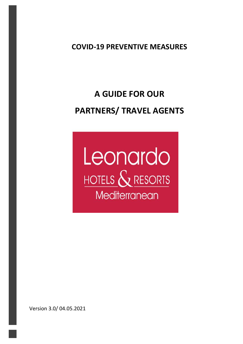**COVID-19 PREVENTIVE MEASURES**

# **A GUIDE FOR OUR PARTNERS/ TRAVEL AGENTS**



Version 3.0/ 04.05.2021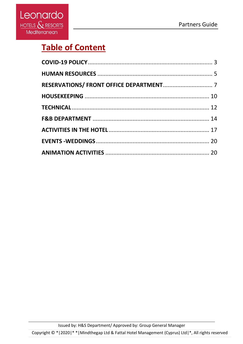

## **Table of Content**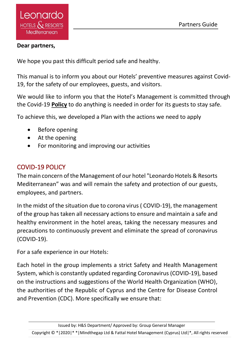#### **Dear partners,**

We hope you past this difficult period safe and healthy.

This manual is to inform you about our Hotels' preventive measures against Covid-19, for the safety of our employees, guests, and visitors.

We would like to inform you that the Hotel's Management is committed through the Covid-19 **Policy** to do anything is needed in order for its guests to stay safe.

To achieve this, we developed a Plan with the actions we need to apply

- Before opening
- At the opening
- For monitoring and improving our activities

## <span id="page-2-0"></span>COVID-19 POLICY

The main concern of the Management of our hotel "Leonardo Hotels & Resorts Mediterranean" was and will remain the safety and protection of our guests, employees, and partners.

In the midst of the situation due to corona virus ( COVID-19), the management of the group has taken all necessary actions to ensure and maintain a safe and healthy environment in the hotel areas, taking the necessary measures and precautions to continuously prevent and eliminate the spread of coronavirus (COVID-19).

For a safe experience in our Hotels:

Each hotel in the group implements a strict Safety and Health Management System, which is constantly updated regarding Coronavirus (COVID-19), based on the instructions and suggestions of the World Health Organization (WHO), the authorities of the Republic of Cyprus and the Centre for Disease Control and Prevention (CDC). More specifically we ensure that:

Issued by: H&S Department/ Approved by: Group General Manager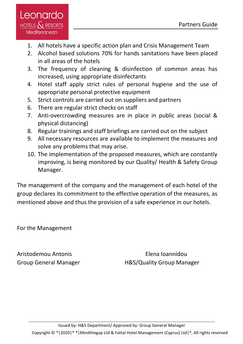

- 1. All hotels have a specific action plan and Crisis Management Team
- 2. Alcohol based solutions 70% for hands sanitations have been placed in all areas of the hotels
- 3. The frequency of cleaning & disinfection of common areas has increased, using appropriate disinfectants
- 4. Hotel staff apply strict rules of personal hygiene and the use of appropriate personal protective equipment
- 5. Strict controls are carried out on suppliers and partners
- 6. There are regular strict checks on staff
- 7. Anti-overcrowding measures are in place in public areas (social & physical distancing)
- 8. Regular trainings and staff briefings are carried out on the subject
- 9. All necessary resources are available to implement the measures and solve any problems that may arise.
- 10. The implementation of the proposed measures, which are constantly improving, is being monitored by our Quality/ Health & Safety Group Manager.

The management of the company and the management of each hotel of the group declares its commitment to the effective operation of the measures, as mentioned above and thus the provision of a safe experience in our hotels.

For the Management

Aristodemou Antonis Elena Ioannidou

Group General Manager H&S/Quality Group Manager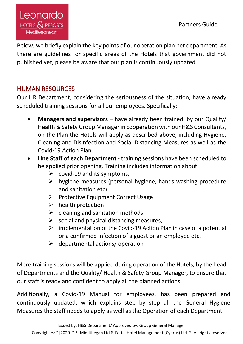Below, we briefly explain the key points of our operation plan per department. As there are guidelines for specific areas of the Hotels that government did not published yet, please be aware that our plan is continuously updated.

## <span id="page-4-0"></span>HUMAN RESOURCES

Our HR Department, considering the seriousness of the situation, have already scheduled training sessions for all our employees. Specifically:

- **Managers and supervisors** have already been trained, by our Quality/ Health & Safety Group Manager in cooperation with our H&S Consultants, on the Plan the Hotels will apply as described above, including Hygiene, Cleaning and Disinfection and Social Distancing Measures as well as the Covid-19 Action Plan.
- **Line Staff of each Department** training sessions have been scheduled to be applied prior opening. Training includes information about:
	- $\triangleright$  covid-19 and its symptoms,
	- ➢ hygiene measures (personal hygiene, hands washing procedure and sanitation etc)
	- ➢ Protective Equipment Correct Usage
	- $\triangleright$  health protection
	- $\triangleright$  cleaning and sanitation methods
	- $\triangleright$  social and physical distancing measures,
	- $\triangleright$  implementation of the Covid-19 Action Plan in case of a potential or a confirmed infection of a guest or an employee etc.
	- ➢ departmental actions/ οperation

More training sessions will be applied during operation of the Hotels, by the head of Departments and the Quality/ Health & Safety Group Manager, to ensure that our staff is ready and confident to apply all the planned actions.

Additionally, a Covid-19 Manual for employees, has been prepared and continuously updated, which explains step by step all the General Hygiene Measures the staff needs to apply as well as the Operation of each Department.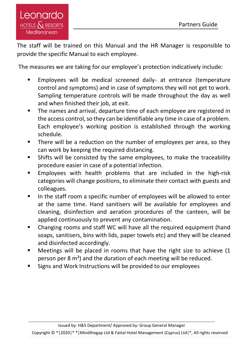The staff will be trained on this Manual and the HR Manager is responsible to provide the specific Manual to each employee.

The measures we are taking for our employee's protection indicatively include:

- Employees will be medical screened daily- at entrance (temperature control and symptoms) and in case of symptoms they will not get to work. Sampling temperature controls will be made throughout the day as well and when finished their job, at exit.
- The names and arrival, departure time of each employee are registered in the access control, so they can be identifiable any time in case of a problem. Each employee's working position is established through the working schedule.
- There will be a reduction on the number of employees per area, so they can work by keeping the required distancing.
- Shifts will be consisted by the same employees, to make the traceability procedure easier in case of a potential infection.
- Employees with health problems that are included in the high-risk categories will change positions, to eliminate their contact with guests and colleagues.
- In the staff room a specific number of employees will be allowed to enter at the same time. Hand sanitisers will be available for employees and cleaning, disinfection and aeration procedures of the canteen, will be applied continuously to prevent any contamination.
- Changing rooms and staff WC will have all the required equipment (hand soaps, sanitisers, bins with lids, paper towels etc) and they will be cleaned and disinfected accordingly.
- Meetings will be placed in rooms that have the right size to achieve (1 person per 8 m²) and the duration of each meeting will be reduced.
- Signs and Work Instructions will be provided to our employees

Issued by: H&S Department/ Approved by: Group General Manager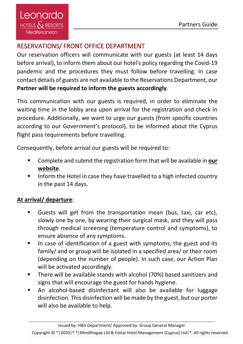## <span id="page-6-0"></span>RESERVATIONS/ FRONT OFFICE DEPARTMENT

Our reservation officers will communicate with our guests (at least 14 days before arrival), to inform them about our hotel's policy regarding the Covid-19 pandemic and the procedures they must follow before travelling. In case contact details of guests are not available to the Reservations Department, our **Partner will be required to inform the guests accordingly**.

This communication with our guests is required, in order to eliminate the waiting time in the lobby area upon arrival for the registration and check in procedure. Additionally, we want to urge our guests (from specific countries according to our Government's protocol), to be informed about the Cyprus flight pass requirements before travelling.

Consequently, before arrival our guests will be required to:

- Complete and submit the registration form that will be available in **our website**.
- Inform the Hotel in case they have travelled to a high infected country in the past 14 days.

## **At arrival/ departure**:

- Guests will get from the transportation mean (bus, taxi, car etc). slowly one by one, by wearing their surgical mask, and they will pass through medical screening (temperature control and symptoms), to ensure absence of any symptoms.
- In case of identification of a guest with symptoms, the guest and its family/ and or group will be isolated in a specified area/ or their room (depending on the number of people). In such case, our Action Plan will be activated accordingly.
- There will be available stands with alcohol (70%) based sanitizers and signs that will encourage the guest for hands hygiene.
- An alcohol-based disinfectant will also be available for luggage disinfection. This disinfection will be made by the guest, but our porter will also be available to help.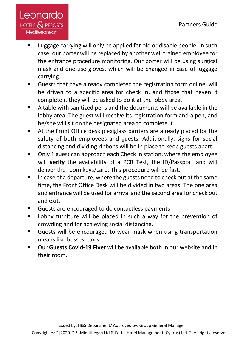

- Luggage carrying will only be applied for old or disable people. In such case, our porter will be replaced by another well trained employee for the entrance procedure monitoring. Our porter will be using surgical mask and one-use gloves, which will be changed in case of luggage carrying.
- Guests that have already completed the registration form online, will be driven to a specific area for check in, and those that haven' t complete it they will be asked to do it at the lobby area.
- A table with sanitized pens and the documents will be available in the lobby area. The guest will receive its registration form and a pen, and he/she will sit on the designated area to complete it.
- At the Front Office desk plexiglass barriers are already placed for the safety of both employees and guests. Additionally, signs for social distancing and dividing ribbons will be in place to keep guests apart.
- Only 1 guest can approach each Check In station, where the employee will **verify** the availability of a PCR Test, the ID/Passport and will deliver the room keys/card. This procedure will be fast.
- In case of a departure, where the guests need to check out at the same time, the Front Office Desk will be divided in two areas. The one area and entrance will be used for arrival and the second area for check out and exit.
- Guests are encouraged to do contactless payments
- Lobby furniture will be placed in such a way for the prevention of crowding and for achieving social distancing.
- Guests will be encouraged to wear mask when using transportation means like busses, taxis.
- Our Guests Covid-19 Flyer will be available both in our website and in their room.

Issued by: H&S Department/ Approved by: Group General Manager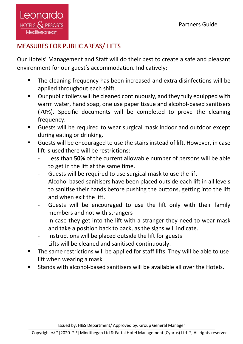## MEASURES FOR PUBLIC AREAS/ LIFTS

Our Hotels' Management and Staff will do their best to create a safe and pleasant environment for our guest's accommodation. Indicatively:

- The cleaning frequency has been increased and extra disinfections will be applied throughout each shift.
- Our public toilets will be cleaned continuously, and they fully equipped with warm water, hand soap, one use paper tissue and alcohol-based sanitisers (70%). Specific documents will be completed to prove the cleaning frequency.
- Guests will be required to wear surgical mask indoor and outdoor except during eating or drinking.
- Guests will be encouraged to use the stairs instead of lift. However, in case lift is used there will be restrictions:
	- Less than **50%** of the current allowable number of persons will be able to get in the lift at the same time.
	- Guests will be required to use surgical mask to use the lift
	- Alcohol based sanitisers have been placed outside each lift in all levels to sanitise their hands before pushing the buttons, getting into the lift and when exit the lift.
	- Guests will be encouraged to use the lift only with their family members and not with strangers
	- In case they get into the lift with a stranger they need to wear mask and take a position back to back, as the signs will indicate.
	- Instructions will be placed outside the lift for guests
	- Lifts will be cleaned and sanitised continuously.
- The same restrictions will be applied for staff lifts. They will be able to use lift when wearing a mask
- Stands with alcohol-based sanitisers will be available all over the Hotels.

Issued by: H&S Department/ Approved by: Group General Manager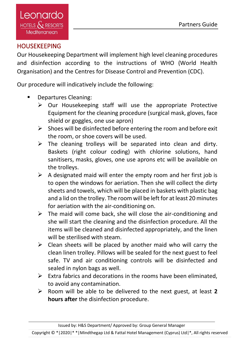## <span id="page-9-0"></span>**HOUSEKEEPING**

Our Housekeeping Department will implement high level cleaning procedures and disinfection according to the instructions of WHO (World Health Organisation) and the Centres for Disease Control and Prevention (CDC).

Our procedure will indicatively include the following:

- Departures Cleaning:
	- ➢ Our Housekeeping staff will use the appropriate Protective Equipment for the cleaning procedure (surgical mask, gloves, face shield or goggles, one use apron)
	- $\triangleright$  Shoes will be disinfected before entering the room and before exit the room, or shoe covers will be used.
	- $\triangleright$  The cleaning trolleys will be separated into clean and dirty. Baskets (right colour coding) with chlorine solutions, hand sanitisers, masks, gloves, one use aprons etc will be available on the trolleys.
	- $\triangleright$  A designated maid will enter the empty room and her first job is to open the windows for aeriation. Then she will collect the dirty sheets and towels, which will be placed in baskets with plastic bag and a lid on the trolley. The room will be left for at least 20 minutes for aeriation with the air-conditioning on.
	- $\triangleright$  The maid will come back, she will close the air-conditioning and she will start the cleaning and the disinfection procedure. All the items will be cleaned and disinfected appropriately, and the linen will be sterilised with steam.
	- $\triangleright$  Clean sheets will be placed by another maid who will carry the clean linen trolley. Pillows will be sealed for the next guest to feel safe. TV and air conditioning controls will be disinfected and sealed in nylon bags as well.
	- $\triangleright$  Extra fabrics and decorations in the rooms have been eliminated, to avoid any contamination.
	- ➢ Room will be able to be delivered to the next guest, at least **2 hours after** the disinfection procedure.

Issued by: H&S Department/ Approved by: Group General Manager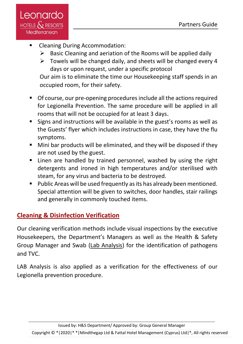

- Cleaning During Accommodation:
	- $\triangleright$  Basic Cleaning and aeriation of the Rooms will be applied daily
	- $\triangleright$  Towels will be changed daily, and sheets will be changed every 4 days or upon request, under a specific protocol

Our aim is to eliminate the time our Housekeeping staff spends in an occupied room, for their safety.

- Of course, our pre-opening procedures include all the actions required for Legionella Prevention. The same procedure will be applied in all rooms that will not be occupied for at least 3 days.
- Signs and instructions will be available in the guest's rooms as well as the Guests' flyer which includes instructions in case, they have the flu symptoms.
- Mini bar products will be eliminated, and they will be disposed if they are not used by the guest.
- **E** Linen are handled by trained personnel, washed by using the right detergents and ironed in high temperatures and/or sterilised with steam, for any virus and bacteria to be destroyed.
- Public Areas will be used frequently as its has already been mentioned. Special attention will be given to switches, door handles, stair railings and generally in commonly touched items.

## **Cleaning & Disinfection Verification**

Our cleaning verification methods include visual inspections by the executive Housekeepers, the Department's Managers as well as the Health & Safety Group Manager and Swab (Lab Analysis) for the identification of pathogens and TVC.

LAB Analysis is also applied as a verification for the effectiveness of our Legionella prevention procedure.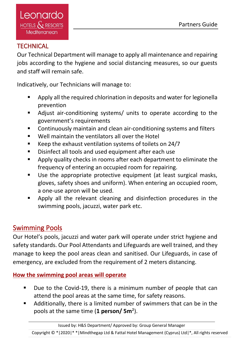## <span id="page-11-0"></span>**TECHNICAL**

Our Technical Department will manage to apply all maintenance and repairing jobs according to the hygiene and social distancing measures, so our guests and staff will remain safe.

Indicatively, our Technicians will manage to:

- Apply all the required chlorination in deposits and water for legionella prevention
- Adjust air-conditioning systems/ units to operate according to the government's requirements
- Continuously maintain and clean air-conditioning systems and filters
- Well maintain the ventilators all over the Hotel
- Keep the exhaust ventilation systems of toilets on 24/7
- Disinfect all tools and used equipment after each use
- Apply quality checks in rooms after each department to eliminate the frequency of entering an occupied room for repairing.
- Use the appropriate protective equipment (at least surgical masks, gloves, safety shoes and uniform). When entering an occupied room, a one-use apron will be used.
- Apply all the relevant cleaning and disinfection procedures in the swimming pools, jacuzzi, water park etc.

## Swimming Pools

Our Hotel's pools, jacuzzi and water park will operate under strict hygiene and safety standards. Our Pool Attendants and Lifeguards are well trained, and they manage to keep the pool areas clean and sanitised. Our Lifeguards, in case of emergency, are excluded from the requirement of 2 meters distancing.

**How the swimming pool areas will operate**

- Due to the Covid-19, there is a minimum number of people that can attend the pool areas at the same time, for safety reasons.
- Additionally, there is a limited number of swimmers that can be in the pools at the same time (**1 person/ 5m**²).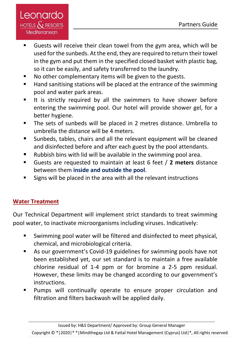

- Guests will receive their clean towel from the gym area, which will be used for the sunbeds. At the end, they are required to return their towel in the gym and put them in the specified closed basket with plastic bag, so it can be easily, and safety transferred to the laundry.
- No other complementary items will be given to the guests.
- Hand sanitising stations will be placed at the entrance of the swimming pool and water park areas.
- It is strictly required by all the swimmers to have shower before entering the swimming pool. Our hotel will provide shower gel, for a better hygiene.
- The sets of sunbeds will be placed in 2 metres distance. Umbrella to umbrella the distance will be 4 meters.
- Sunbeds, tables, chairs and all the relevant equipment will be cleaned and disinfected before and after each guest by the pool attendants.
- Rubbish bins with lid will be available in the swimming pool area.
- Guests are requested to maintain at least 6 feet / **2 meters** distance between them **inside and outside the pool**.
- Signs will be placed in the area with all the relevant instructions

#### **Water Treatment**

Our Technical Department will implement strict standards to treat swimming pool water, to inactivate microorganisms including viruses. Indicatively:

- Swimming pool water will be filtered and disinfected to meet physical, chemical, and microbiological criteria.
- As our government's Covid-19 guidelines for swimming pools have not been established yet, our set standard is to maintain a free available chlorine residual of 1-4 ppm or for bromine a 2-5 ppm residual. However, these limits may be changed according to our government's instructions.
- Pumps will continually operate to ensure proper circulation and filtration and filters backwash will be applied daily.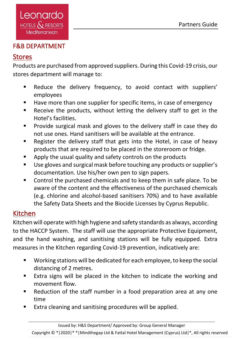#### <span id="page-13-0"></span>F&B DEPARTMENT

## Stores

Products are purchased from approved suppliers. During this Covid-19 crisis, our stores department will manage to:

- Reduce the delivery frequency, to avoid contact with suppliers' employees
- Have more than one supplier for specific items, in case of emergency
- Receive the products, without letting the delivery staff to get in the Hotel's facilities.
- Provide surgical mask and gloves to the delivery staff in case they do not use ones. Hand sanitisers will be available at the entrance.
- Register the delivery staff that gets into the Hotel, in case of heavy products that are required to be placed in the storeroom or fridge.
- Apply the usual quality and safety controls on the products
- Use gloves and surgical mask before touching any products or supplier's documentation. Use his/her own pen to sign papers.
- Control the purchased chemicals and to keep them in safe place. To be aware of the content and the effectiveness of the purchased chemicals (e.g. chlorine and alcohol-based sanitisers 70%) and to have available the Safety Data Sheets and the Biocide Licenses by Cyprus Republic.

## Kitchen

Kitchen will operate with high hygiene and safety standards as always, according to the HACCP System. The staff will use the appropriate Protective Equipment, and the hand washing, and sanitising stations will be fully equipped. Extra measures in the Kitchen regarding Covid-19 prevention, indicatively are:

- Working stations will be dedicated for each employee, to keep the social distancing of 2 metres.
- Extra signs will be placed in the kitchen to indicate the working and movement flow.
- Reduction of the staff number in a food preparation area at any one time
- Extra cleaning and sanitising procedures will be applied.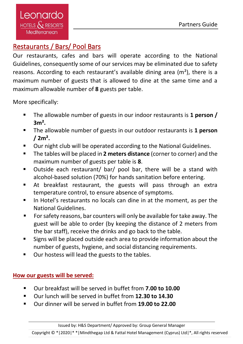Leonardo HOTELS  $\mathcal{S}$  resorts Mediterranean

## Restaurants / Bars/ Pool Bars

Our restaurants, cafes and bars will operate according to the National Guidelines, consequently some of our services may be eliminated due to safety reasons. According to each restaurant's available dining area (m²), there is a maximum number of guests that is allowed to dine at the same time and a maximum allowable number of **8** guests per table.

More specifically:

- The allowable number of guests in our indoor restaurants is **1 person / 3m².**
- The allowable number of guests in our outdoor restaurants is **1 person / 2m².**
- Our night club will be operated according to the National Guidelines.
- The tables will be placed in **2 meters distance** (corner to corner) and the maximum number of guests per table is **8**.
- Outside each restaurant/ bar/ pool bar, there will be a stand with alcohol-based solution (70%) for hands sanitation before entering.
- At breakfast restaurant, the guests will pass through an extra temperature control, to ensure absence of symptoms.
- In Hotel's restaurants no locals can dine in at the moment, as per the National Guidelines.
- For safety reasons, bar counters will only be available for take away. The guest will be able to order (by keeping the distance of 2 meters from the bar staff), receive the drinks and go back to the table.
- Signs will be placed outside each area to provide information about the number of guests, hygiene, and social distancing requirements.
- Our hostess will lead the guests to the tables.

#### **How our guests will be served:**

- Our breakfast will be served in buffet from **7.00 to 10.00**
- Our lunch will be served in buffet from **12.30 to 14.30**
- Our dinner will be served in buffet from **19.00 to 22.00**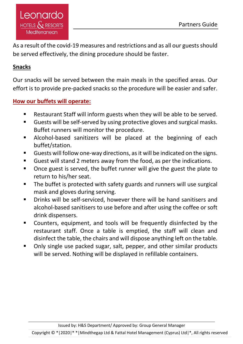As a result of the covid-19 measures and restrictions and as all our guests should be served effectively, the dining procedure should be faster.

#### **Snacks**

Our snacks will be served between the main meals in the specified areas. Our effort is to provide pre-packed snacks so the procedure will be easier and safer.

#### **How our buffets will operate:**

- Restaurant Staff will inform guests when they will be able to be served.
- Guests will be self-served by using protective gloves and surgical masks. Buffet runners will monitor the procedure.
- Alcohol-based sanitizers will be placed at the beginning of each buffet/station.
- Guests will follow one-way directions, as it will be indicated on the signs.
- Guest will stand 2 meters away from the food, as per the indications.
- Once guest is served, the buffet runner will give the guest the plate to return to his/her seat.
- The buffet is protected with safety guards and runners will use surgical mask and gloves during serving.
- Drinks will be self-serviced, however there will be hand sanitisers and alcohol-based sanitisers to use before and after using the coffee or soft drink dispensers.
- Counters, equipment, and tools will be frequently disinfected by the restaurant staff. Once a table is emptied, the staff will clean and disinfect the table, the chairs and will dispose anything left on the table.
- Only single use packed sugar, salt, pepper, and other similar products will be served. Nothing will be displayed in refillable containers.

Issued by: H&S Department/ Approved by: Group General Manager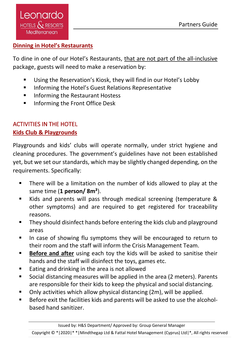#### **Dinning in Hotel's Restaurants**

To dine in one of our Hotel's Restaurants, that are not part of the all-inclusive package, guests will need to make a reservation by:

- Using the Reservation's Kiosk, they will find in our Hotel's Lobby
- Informing the Hotel's Guest Relations Representative
- Informing the Restaurant Hostess
- Informing the Front Office Desk

## <span id="page-16-0"></span>ACTIVITIES IN THE HOTEL **Kids Club & Playgrounds**

Playgrounds and kids' clubs will operate normally, under strict hygiene and cleaning procedures. The government's guidelines have not been established yet, but we set our standards, which may be slightly changed depending, on the requirements. Specifically:

- There will be a limitation on the number of kids allowed to play at the same time (**1 person/ 8m²**).
- Kids and parents will pass through medical screening (temperature & other symptoms) and are required to get registered for traceability reasons.
- They should disinfect hands before entering the kids club and playground areas
- In case of showing flu symptoms they will be encouraged to return to their room and the staff will inform the Crisis Management Team.
- **Before and after** using each toy the kids will be asked to sanitise their hands and the staff will disinfect the toys, games etc.
- Eating and drinking in the area is not allowed
- Social distancing measures will be applied in the area (2 meters). Parents are responsible for their kids to keep the physical and social distancing.
- Only activities which allow physical distancing (2m), will be applied.
- Before exit the facilities kids and parents will be asked to use the alcoholbased hand sanitizer.

Issued by: H&S Department/ Approved by: Group General Manager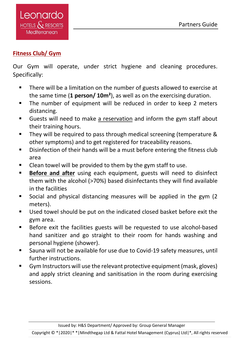#### **Fitness Club/ Gym**

Our Gym will operate, under strict hygiene and cleaning procedures. Specifically:

- There will be a limitation on the number of guests allowed to exercise at the same time (**1 person/ 10m²**), as well as on the exercising duration.
- The number of equipment will be reduced in order to keep 2 meters distancing.
- Guests will need to make a reservation and inform the gym staff about their training hours.
- They will be required to pass through medical screening (temperature & other symptoms) and to get registered for traceability reasons.
- Disinfection of their hands will be a must before entering the fitness club area
- Clean towel will be provided to them by the gym staff to use.
- **Before and after** using each equipment, guests will need to disinfect them with the alcohol (>70%) based disinfectants they will find available in the facilities
- Social and physical distancing measures will be applied in the gym (2 meters).
- Used towel should be put on the indicated closed basket before exit the gym area.
- Before exit the facilities guests will be requested to use alcohol-based hand sanitizer and go straight to their room for hands washing and personal hygiene (shower).
- Sauna will not be available for use due to Covid-19 safety measures, until further instructions.
- Gym Instructors will use the relevant protective equipment (mask, gloves) and apply strict cleaning and sanitisation in the room during exercising sessions.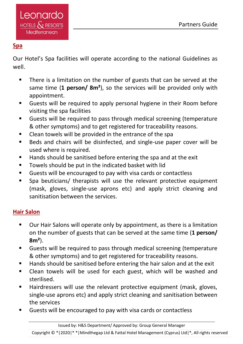#### **Spa**

Our Hotel's Spa facilities will operate according to the national Guidelines as well.

- There is a limitation on the number of guests that can be served at the same time (**1 person/ 8m²**), so the services will be provided only with appointment.
- Guests will be required to apply personal hygiene in their Room before visiting the spa facilities
- Guests will be required to pass through medical screening (temperature & other symptoms) and to get registered for traceability reasons.
- Clean towels will be provided in the entrance of the spa
- Beds and chairs will be disinfected, and single-use paper cover will be used where is required.
- Hands should be sanitised before entering the spa and at the exit
- Towels should be put in the indicated basket with lid
- Guests will be encouraged to pay with visa cards or contactless
- Spa beuticians/ therapists will use the relevant protective equipment (mask, gloves, single-use aprons etc) and apply strict cleaning and sanitisation between the services.

#### **Hair Salon**

- Our Hair Salons will operate only by appointment, as there is a limitation on the number of guests that can be served at the same time (**1 person/ 8m²**).
- Guests will be required to pass through medical screening (temperature & other symptoms) and to get registered for traceability reasons.
- Hands should be sanitised before entering the hair salon and at the exit
- Clean towels will be used for each guest, which will be washed and sterilised.
- Hairdressers will use the relevant protective equipment (mask, gloves, single-use aprons etc) and apply strict cleaning and sanitisation between the services
- Guests will be encouraged to pay with visa cards or contactless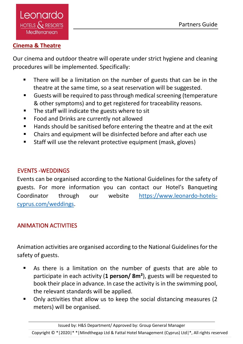#### **Cinema & Theatre**

Our cinema and outdoor theatre will operate under strict hygiene and cleaning procedures will be implemented. Specifically:

- There will be a limitation on the number of guests that can be in the theatre at the same time, so a seat reservation will be suggested.
- Guests will be required to pass through medical screening (temperature & other symptoms) and to get registered for traceability reasons.
- The staff will indicate the guests where to sit
- Food and Drinks are currently not allowed
- Hands should be sanitised before entering the theatre and at the exit
- Chairs and equipment will be disinfected before and after each use
- Staff will use the relevant protective equipment (mask, gloves)

#### <span id="page-19-0"></span>EVENTS -WEDDINGS

Events can be organised according to the National Guidelines for the safety of guests. For more information you can contact our Hotel's Banqueting Coordinator through our website [https://www.leonardo-hotels](https://www.leonardo-hotels-cyprus.com/weddings)[cyprus.com/weddings.](https://www.leonardo-hotels-cyprus.com/weddings)

## <span id="page-19-1"></span>ANIMATION ACTIVITIES

Animation activities are organised according to the National Guidelines for the safety of guests.

- As there is a limitation on the number of guests that are able to participate in each activity (**1 person/ 8m²**), guests will be requested to book their place in advance. In case the activity is in the swimming pool, the relevant standards will be applied.
- Only activities that allow us to keep the social distancing measures (2 meters) will be organised.

Issued by: H&S Department/ Approved by: Group General Manager